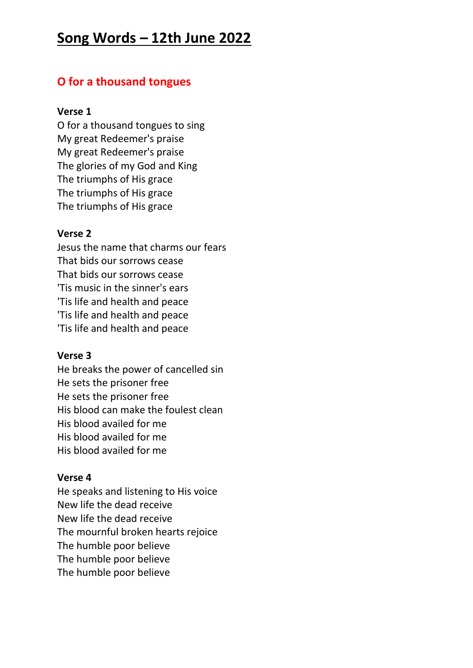# **Song Words – 12th June 2022**

## **O for a thousand tongues**

## **Verse 1**

O for a thousand tongues to sing My great Redeemer's praise My great Redeemer's praise The glories of my God and King The triumphs of His grace The triumphs of His grace The triumphs of His grace

## **Verse 2**

Jesus the name that charms our fears That bids our sorrows cease That bids our sorrows cease 'Tis music in the sinner's ears 'Tis life and health and peace 'Tis life and health and peace 'Tis life and health and peace

## **Verse 3**

He breaks the power of cancelled sin He sets the prisoner free He sets the prisoner free His blood can make the foulest clean His blood availed for me His blood availed for me His blood availed for me

## **Verse 4**

He speaks and listening to His voice New life the dead receive New life the dead receive The mournful broken hearts rejoice The humble poor believe The humble poor believe The humble poor believe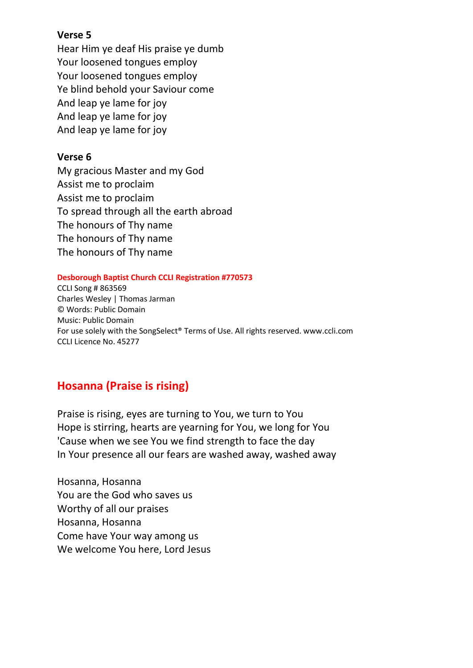## **Verse 5**

Hear Him ye deaf His praise ye dumb Your loosened tongues employ Your loosened tongues employ Ye blind behold your Saviour come And leap ye lame for joy And leap ye lame for joy And leap ye lame for joy

## **Verse 6**

My gracious Master and my God Assist me to proclaim Assist me to proclaim To spread through all the earth abroad The honours of Thy name The honours of Thy name The honours of Thy name

#### **Desborough Baptist Church CCLI Registration #770573**

CCLI Song # 863569 Charles Wesley | Thomas Jarman © Words: Public Domain Music: Public Domain For use solely with the SongSelect® Terms of Use. All rights reserved. www.ccli.com CCLI Licence No. 45277

## **Hosanna (Praise is rising)**

Praise is rising, eyes are turning to You, we turn to You Hope is stirring, hearts are yearning for You, we long for You 'Cause when we see You we find strength to face the day In Your presence all our fears are washed away, washed away

Hosanna, Hosanna You are the God who saves us Worthy of all our praises Hosanna, Hosanna Come have Your way among us We welcome You here, Lord Jesus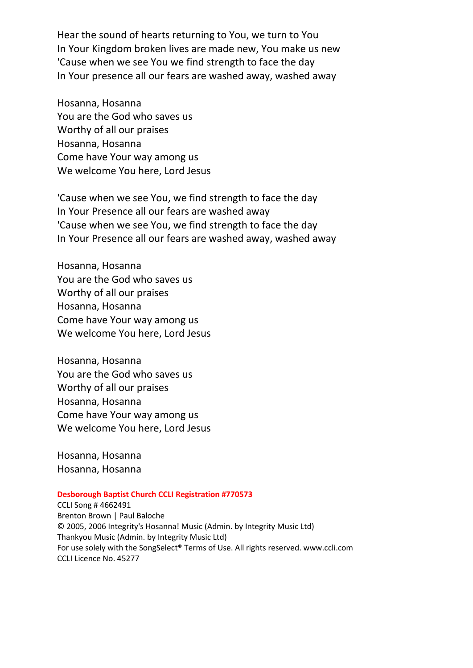Hear the sound of hearts returning to You, we turn to You In Your Kingdom broken lives are made new, You make us new 'Cause when we see You we find strength to face the day In Your presence all our fears are washed away, washed away

Hosanna, Hosanna You are the God who saves us Worthy of all our praises Hosanna, Hosanna Come have Your way among us We welcome You here, Lord Jesus

'Cause when we see You, we find strength to face the day In Your Presence all our fears are washed away 'Cause when we see You, we find strength to face the day In Your Presence all our fears are washed away, washed away

Hosanna, Hosanna You are the God who saves us Worthy of all our praises Hosanna, Hosanna Come have Your way among us We welcome You here, Lord Jesus

Hosanna, Hosanna You are the God who saves us Worthy of all our praises Hosanna, Hosanna Come have Your way among us We welcome You here, Lord Jesus

Hosanna, Hosanna Hosanna, Hosanna

#### **Desborough Baptist Church CCLI Registration #770573**

CCLI Song # 4662491 Brenton Brown | Paul Baloche © 2005, 2006 Integrity's Hosanna! Music (Admin. by Integrity Music Ltd) Thankyou Music (Admin. by Integrity Music Ltd) For use solely with the SongSelect® Terms of Use. All rights reserved. www.ccli.com CCLI Licence No. 45277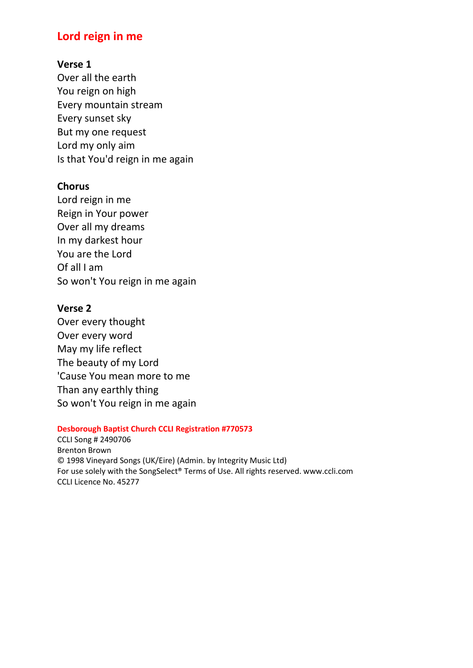## **Lord reign in me**

### **Verse 1**

Over all the earth You reign on high Every mountain stream Every sunset sky But my one request Lord my only aim Is that You'd reign in me again

### **Chorus**

Lord reign in me Reign in Your power Over all my dreams In my darkest hour You are the Lord Of all I am So won't You reign in me again

#### **Verse 2**

Over every thought Over every word May my life reflect The beauty of my Lord 'Cause You mean more to me Than any earthly thing So won't You reign in me again

#### **Desborough Baptist Church CCLI Registration #770573**

CCLI Song # 2490706 Brenton Brown © 1998 Vineyard Songs (UK/Eire) (Admin. by Integrity Music Ltd) For use solely with the SongSelect® Terms of Use. All rights reserved. www.ccli.com CCLI Licence No. 45277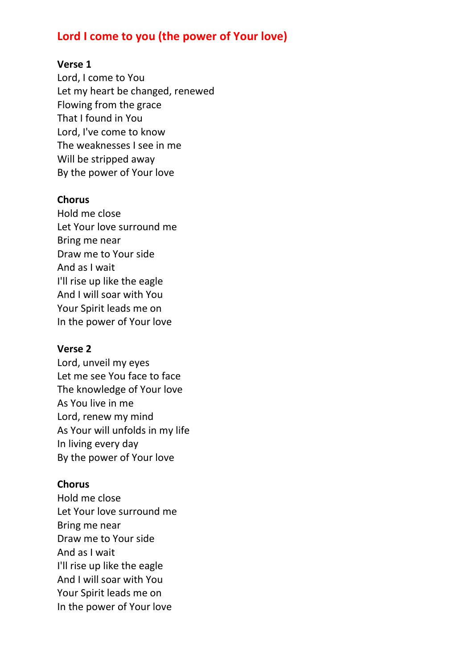## **Lord I come to you (the power of Your love)**

## **Verse 1**

Lord, I come to You Let my heart be changed, renewed Flowing from the grace That I found in You Lord, I've come to know The weaknesses I see in me Will be stripped away By the power of Your love

## **Chorus**

Hold me close Let Your love surround me Bring me near Draw me to Your side And as I wait I'll rise up like the eagle And I will soar with You Your Spirit leads me on In the power of Your love

#### **Verse 2**

Lord, unveil my eyes Let me see You face to face The knowledge of Your love As You live in me Lord, renew my mind As Your will unfolds in my life In living every day By the power of Your love

## **Chorus**

Hold me close Let Your love surround me Bring me near Draw me to Your side And as I wait I'll rise up like the eagle And I will soar with You Your Spirit leads me on In the power of Your love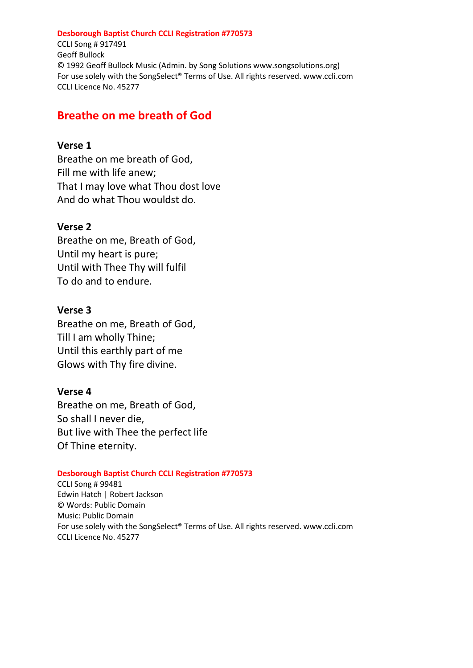#### **Desborough Baptist Church CCLI Registration #770573**

CCLI Song # 917491 Geoff Bullock © 1992 Geoff Bullock Music (Admin. by Song Solutions www.songsolutions.org) For use solely with the SongSelect® Terms of Use. All rights reserved. www.ccli.com CCLI Licence No. 45277

## **Breathe on me breath of God**

### **Verse 1**

Breathe on me breath of God, Fill me with life anew; That I may love what Thou dost love And do what Thou wouldst do.

### **Verse 2**

Breathe on me, Breath of God, Until my heart is pure; Until with Thee Thy will fulfil To do and to endure.

### **Verse 3**

Breathe on me, Breath of God, Till I am wholly Thine; Until this earthly part of me Glows with Thy fire divine.

#### **Verse 4**

Breathe on me, Breath of God, So shall I never die, But live with Thee the perfect life Of Thine eternity.

#### **Desborough Baptist Church CCLI Registration #770573**

CCLI Song # 99481 Edwin Hatch | Robert Jackson © Words: Public Domain Music: Public Domain For use solely with the SongSelect® Terms of Use. All rights reserved. www.ccli.com CCLI Licence No. 45277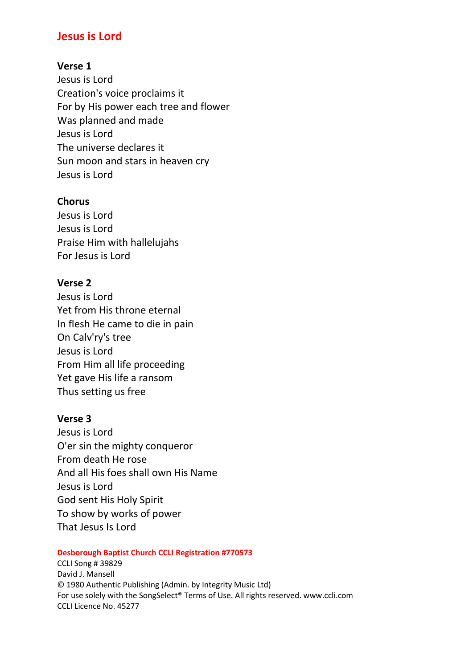## **Jesus is Lord**

## **Verse 1**

Jesus is Lord Creation's voice proclaims it For by His power each tree and flower Was planned and made Jesus is Lord The universe declares it Sun moon and stars in heaven cry Jesus is Lord

## **Chorus**

Jesus is Lord Jesus is Lord Praise Him with hallelujahs For Jesus is Lord

## **Verse 2**

Jesus is Lord Yet from His throne eternal In flesh He came to die in pain On Calv'ry's tree Jesus is Lord From Him all life proceeding Yet gave His life a ransom Thus setting us free

#### **Verse 3**

Jesus is Lord O'er sin the mighty conqueror From death He rose And all His foes shall own His Name Jesus is Lord God sent His Holy Spirit To show by works of power That Jesus Is Lord

#### **Desborough Baptist Church CCLI Registration #770573**

CCLI Song # 39829 David J. Mansell © 1980 Authentic Publishing (Admin. by Integrity Music Ltd) For use solely with the SongSelect® Terms of Use. All rights reserved. www.ccli.com CCLI Licence No. 45277